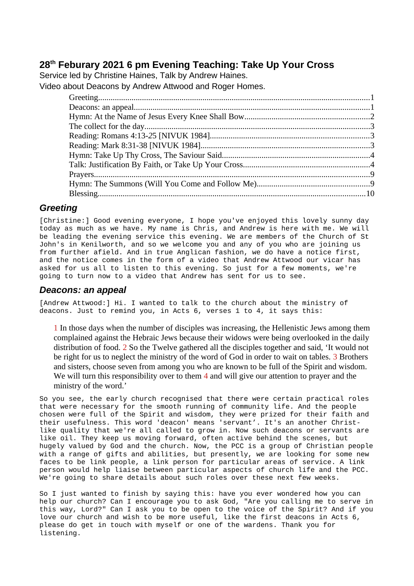# **28th Feburary 2021 6 pm Evening Teaching: Take Up Your Cross**

Service led by Christine Haines, Talk by Andrew Haines.

Video about Deacons by Andrew Attwood and Roger Homes.

## <span id="page-0-1"></span>*Greeting*

[Christine:] Good evening everyone, I hope you've enjoyed this lovely sunny day today as much as we have. My name is Chris, and Andrew is here with me. We will be leading the evening service this evening. We are members of the Church of St John's in Kenilworth, and so we welcome you and any of you who are joining us from further afield. And in true Anglican fashion, we do have a notice first, and the notice comes in the form of a video that Andrew Attwood our vicar has asked for us all to listen to this evening. So just for a few moments, we're going to turn now to a video that Andrew has sent for us to see.

## <span id="page-0-0"></span>*Deacons: an appeal*

[Andrew Attwood:] Hi. I wanted to talk to the church about the ministry of deacons. Just to remind you, in Acts 6, verses 1 to 4, it says this:

1 In those days when the number of disciples was increasing, the Hellenistic Jews among them complained against the Hebraic Jews because their widows were being overlooked in the daily distribution of food. 2 So the Twelve gathered all the disciples together and said, 'It would not be right for us to neglect the ministry of the word of God in order to wait on tables. 3 Brothers and sisters, choose seven from among you who are known to be full of the Spirit and wisdom. We will turn this responsibility over to them 4 and will give our attention to prayer and the ministry of the word.'

So you see, the early church recognised that there were certain practical roles that were necessary for the smooth running of community life. And the people chosen were full of the Spirit and wisdom, they were prized for their faith and their usefulness. This word 'deacon' means 'servant'. It's an another Christlike quality that we're all called to grow in. Now such deacons or servants are like oil. They keep us moving forward, often active behind the scenes, but hugely valued by God and the church. Now, the PCC is a group of Christian people with a range of gifts and abilities, but presently, we are looking for some new faces to be link people, a link person for particular areas of service. A link person would help liaise between particular aspects of church life and the PCC. We're going to share details about such roles over these next few weeks.

So I just wanted to finish by saying this: have you ever wondered how you can help our church? Can I encourage you to ask God, "Are you calling me to serve in this way, Lord?" Can I ask you to be open to the voice of the Spirit? And if you love our church and wish to be more useful, like the first deacons in Acts 6, please do get in touch with myself or one of the wardens. Thank you for listening.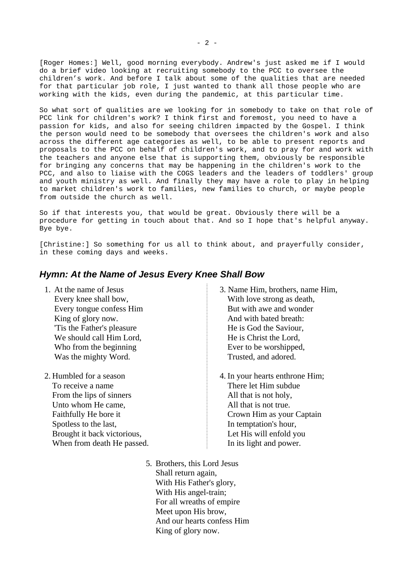[Roger Homes:] Well, good morning everybody. Andrew's just asked me if I would do a brief video looking at recruiting somebody to the PCC to oversee the children's work. And before I talk about some of the qualities that are needed for that particular job role, I just wanted to thank all those people who are working with the kids, even during the pandemic, at this particular time.

So what sort of qualities are we looking for in somebody to take on that role of PCC link for children's work? I think first and foremost, you need to have a passion for kids, and also for seeing children impacted by the Gospel. I think the person would need to be somebody that oversees the children's work and also across the different age categories as well, to be able to present reports and proposals to the PCC on behalf of children's work, and to pray for and work with the teachers and anyone else that is supporting them, obviously be responsible for bringing any concerns that may be happening in the children's work to the PCC, and also to liaise with the COGS leaders and the leaders of toddlers' group and youth ministry as well. And finally they may have a role to play in helping to market children's work to families, new families to church, or maybe people from outside the church as well.

So if that interests you, that would be great. Obviously there will be a procedure for getting in touch about that. And so I hope that's helpful anyway. Bye bye.

[Christine:] So something for us all to think about, and prayerfully consider, in these coming days and weeks.

### <span id="page-1-0"></span>*Hymn: At the Name of Jesus Every Knee Shall Bow*

- 1. At the name of Jesus Every knee shall bow, Every tongue confess Him King of glory now. 'Tis the Father's pleasure We should call Him Lord, Who from the beginning Was the mighty Word.
- 2. Humbled for a season To receive a name From the lips of sinners Unto whom He came, Faithfully He bore it Spotless to the last, Brought it back victorious, When from death He passed.
- 3. Name Him, brothers, name Him, With love strong as death, But with awe and wonder And with bated breath: He is God the Saviour, He is Christ the Lord, Ever to be worshipped, Trusted, and adored.
- 4. In your hearts enthrone Him; There let Him subdue All that is not holy, All that is not true. Crown Him as your Captain In temptation's hour, Let His will enfold you In its light and power.
- 5. Brothers, this Lord Jesus Shall return again, With His Father's glory, With His angel-train; For all wreaths of empire Meet upon His brow, And our hearts confess Him King of glory now.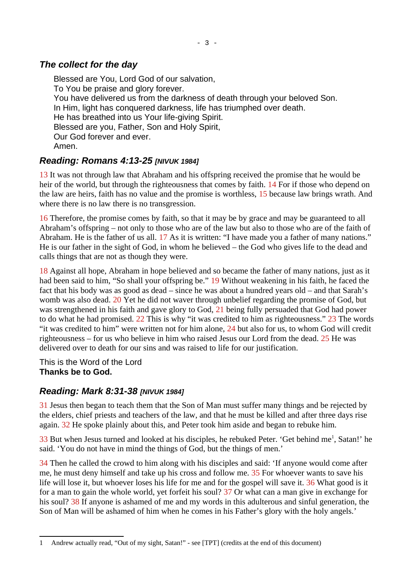# <span id="page-2-2"></span>*The collect for the day*

Blessed are You, Lord God of our salvation, To You be praise and glory forever. You have delivered us from the darkness of death through your beloved Son. In Him, light has conquered darkness, life has triumphed over death. He has breathed into us Your life-giving Spirit. Blessed are you, Father, Son and Holy Spirit, Our God forever and ever. Amen.

# <span id="page-2-1"></span>*Reading: Romans 4:13-25 [NIVUK 1984]*

13 It was not through law that Abraham and his offspring received the promise that he would be heir of the world, but through the righteousness that comes by faith. 14 For if those who depend on the law are heirs, faith has no value and the promise is worthless, 15 because law brings wrath. And where there is no law there is no transgression.

16 Therefore, the promise comes by faith, so that it may be by grace and may be guaranteed to all Abraham's offspring – not only to those who are of the law but also to those who are of the faith of Abraham. He is the father of us all. 17 As it is written: "I have made you a father of many nations." He is our father in the sight of God, in whom he believed – the God who gives life to the dead and calls things that are not as though they were.

18 Against all hope, Abraham in hope believed and so became the father of many nations, just as it had been said to him, "So shall your offspring be." 19 Without weakening in his faith, he faced the fact that his body was as good as dead – since he was about a hundred years old – and that Sarah's womb was also dead. 20 Yet he did not waver through unbelief regarding the promise of God, but was strengthened in his faith and gave glory to God, 21 being fully persuaded that God had power to do what he had promised. 22 This is why "it was credited to him as righteousness." 23 The words "it was credited to him" were written not for him alone, 24 but also for us, to whom God will credit righteousness – for us who believe in him who raised Jesus our Lord from the dead. 25 He was delivered over to death for our sins and was raised to life for our justification.

This is the Word of the Lord **Thanks be to God.**

# <span id="page-2-0"></span>*Reading: Mark 8:31-38 [NIVUK 1984]*

31 Jesus then began to teach them that the Son of Man must suffer many things and be rejected by the elders, chief priests and teachers of the law, and that he must be killed and after three days rise again. 32 He spoke plainly about this, and Peter took him aside and began to rebuke him.

 $33$  But when Jesus turned and looked at his disciples, he rebuked Peter. 'Get behind me<sup>[1](#page-2-3)</sup>, Satan!' he said. 'You do not have in mind the things of God, but the things of men.'

34 Then he called the crowd to him along with his disciples and said: 'If anyone would come after me, he must deny himself and take up his cross and follow me. 35 For whoever wants to save his life will lose it, but whoever loses his life for me and for the gospel will save it. 36 What good is it for a man to gain the whole world, yet forfeit his soul? 37 Or what can a man give in exchange for his soul? 38 If anyone is ashamed of me and my words in this adulterous and sinful generation, the Son of Man will be ashamed of him when he comes in his Father's glory with the holy angels.'

<span id="page-2-3"></span><sup>1</sup> Andrew actually read, "Out of my sight, Satan!" - see [TPT] (credits at the end of this document)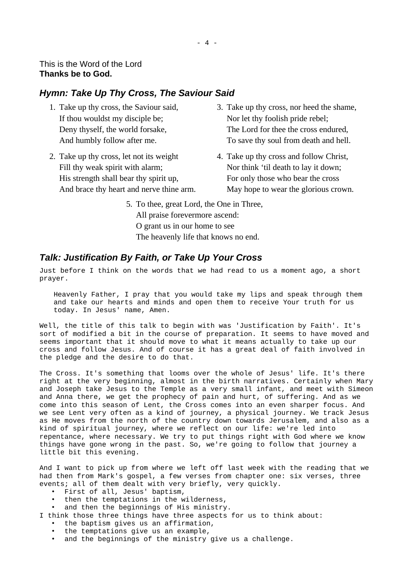### <span id="page-3-1"></span>*Hymn: Take Up Thy Cross, The Saviour Said*

- 1. Take up thy cross, the Saviour said, If thou wouldst my disciple be; Deny thyself, the world forsake, And humbly follow after me.
- 2. Take up thy cross, let not its weight Fill thy weak spirit with alarm; His strength shall bear thy spirit up, And brace thy heart and nerve thine arm.
- 3. Take up thy cross, nor heed the shame, Nor let thy foolish pride rebel; The Lord for thee the cross endured, To save thy soul from death and hell.
- 4. Take up thy cross and follow Christ, Nor think 'til death to lay it down; For only those who bear the cross May hope to wear the glorious crown.
- 5. To thee, great Lord, the One in Three, All praise forevermore ascend: O grant us in our home to see The heavenly life that knows no end.

### <span id="page-3-0"></span>*Talk: Justification By Faith, or Take Up Your Cross*

Just before I think on the words that we had read to us a moment ago, a short prayer.

Heavenly Father, I pray that you would take my lips and speak through them and take our hearts and minds and open them to receive Your truth for us today. In Jesus' name, Amen.

Well, the title of this talk to begin with was 'Justification by Faith'. It's sort of modified a bit in the course of preparation. It seems to have moved and seems important that it should move to what it means actually to take up our cross and follow Jesus. And of course it has a great deal of faith involved in the pledge and the desire to do that.

The Cross. It's something that looms over the whole of Jesus' life. It's there right at the very beginning, almost in the birth narratives. Certainly when Mary and Joseph take Jesus to the Temple as a very small infant, and meet with Simeon and Anna there, we get the prophecy of pain and hurt, of suffering. And as we come into this season of Lent, the Cross comes into an even sharper focus. And we see Lent very often as a kind of journey, a physical journey. We track Jesus as He moves from the north of the country down towards Jerusalem, and also as a kind of spiritual journey, where we reflect on our life: we're led into repentance, where necessary. We try to put things right with God where we know things have gone wrong in the past. So, we're going to follow that journey a little bit this evening.

And I want to pick up from where we left off last week with the reading that we had then from Mark's gospel, a few verses from chapter one: six verses, three events; all of them dealt with very briefly, very quickly.

- First of all, Jesus' baptism,
- then the temptations in the wilderness,
- and then the beginnings of His ministry.
- I think those three things have three aspects for us to think about:
	- the baptism gives us an affirmation,
	- the temptations give us an example,
	- and the beginnings of the ministry give us a challenge.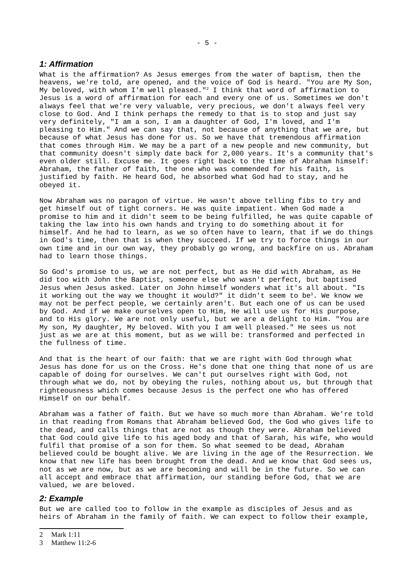#### *1: Affirmation*

What is the affirmation? As Jesus emerges from the water of baptism, then the heavens, we're told, are opened, and the voice of God is heard. "You are My Son, My beloved, with whom I'm well pleased."[2](#page-4-0) I think that word of affirmation to Jesus is a word of affirmation for each and every one of us. Sometimes we don't always feel that we're very valuable, very precious, we don't always feel very close to God. And I think perhaps the remedy to that is to stop and just say very definitely, "I am a son, I am a daughter of God, I'm loved, and I'm pleasing to Him." And we can say that, not because of anything that we are, but because of what Jesus has done for us. So we have that tremendous affirmation that comes through Him. We may be a part of a new people and new community, but that community doesn't simply date back for 2,000 years. It's a community that's even older still. Excuse me. It goes right back to the time of Abraham himself: Abraham, the father of faith, the one who was commended for his faith, is justified by faith. He heard God, he absorbed what God had to stay, and he obeyed it.

Now Abraham was no paragon of virtue. He wasn't above telling fibs to try and get himself out of tight corners. He was quite impatient. When God made a promise to him and it didn't seem to be being fulfilled, he was quite capable of taking the law into his own hands and trying to do something about it for himself. And he had to learn, as we so often have to learn, that if we do things in God's time, then that is when they succeed. If we try to force things in our own time and in our own way, they probably go wrong, and backfire on us. Abraham had to learn those things.

So God's promise to us, we are not perfect, but as He did with Abraham, as He did too with John the Baptist, someone else who wasn't perfect, but baptised Jesus when Jesus asked. Later on John himself wonders what it's all about. "Is it working out the way we thought it would?" it didn't seem to be<sup>[3](#page-4-1)</sup>. We know we may not be perfect people, we certainly aren't. But each one of us can be used by God. And if we make ourselves open to Him, He will use us for His purpose, and to His glory. We are not only useful, but we are a delight to Him. "You are My son, My daughter, My beloved. With you I am well pleased." He sees us not just as we are at this moment, but as we will be: transformed and perfected in the fullness of time.

And that is the heart of our faith: that we are right with God through what Jesus has done for us on the Cross. He's done that one thing that none of us are capable of doing for ourselves. We can't put ourselves right with God, not through what we do, not by obeying the rules, nothing about us, but through that righteousness which comes because Jesus is the perfect one who has offered Himself on our behalf.

Abraham was a father of faith. But we have so much more than Abraham. We're told in that reading from Romans that Abraham believed God, the God who gives life to the dead, and calls things that are not as though they were. Abraham believed that God could give life to his aged body and that of Sarah, his wife, who would fulfil that promise of a son for them. So what seemed to be dead, Abraham believed could be bought alive. We are living in the age of the Resurrection. We know that new life has been brought from the dead. And we know that God sees us, not as we are now, but as we are becoming and will be in the future. So we can all accept and embrace that affirmation, our standing before God, that we are valued, we are beloved.

#### *2: Example*

But we are called too to follow in the example as disciples of Jesus and as heirs of Abraham in the family of faith. We can expect to follow their example,

<span id="page-4-0"></span><sup>2</sup> Mark 1:11

<span id="page-4-1"></span><sup>3</sup> Matthew 11:2-6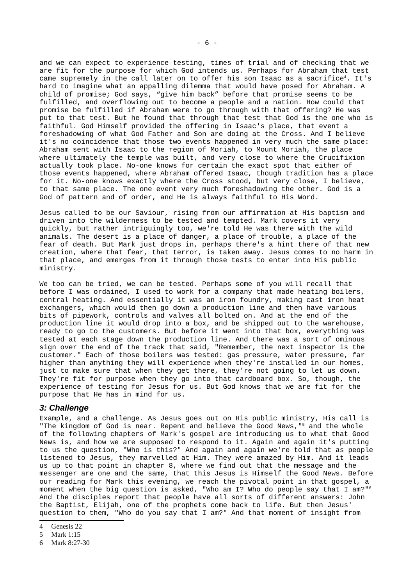and we can expect to experience testing, times of trial and of checking that we are fit for the purpose for which God intends us. Perhaps for Abraham that test came supremely in the call later on to offer his son Isaac as a sacrifice<sup>[4](#page-5-0)</sup>. It's hard to imagine what an appalling dilemma that would have posed for Abraham. A child of promise; God says, "give him back" before that promise seems to be fulfilled, and overflowing out to become a people and a nation. How could that promise be fulfilled if Abraham were to go through with that offering? He was put to that test. But he found that through that test that God is the one who is faithful. God Himself provided the offering in Isaac's place, that event a foreshadowing of what God Father and Son are doing at the Cross. And I believe it's no coincidence that those two events happened in very much the same place: Abraham sent with Isaac to the region of Moriah, to Mount Moriah, the place where ultimately the temple was built, and very close to where the Crucifixion actually took place. No-one knows for certain the exact spot that either of those events happened, where Abraham offered Isaac, though tradition has a place for it. No-one knows exactly where the Cross stood, but very close, I believe, to that same place. The one event very much foreshadowing the other. God is a God of pattern and of order, and He is always faithful to His Word.

Jesus called to be our Saviour, rising from our affirmation at His baptism and driven into the wilderness to be tested and tempted. Mark covers it very quickly, but rather intriguingly too, we're told He was there with the wild animals. The desert is a place of danger, a place of trouble, a place of the fear of death. But Mark just drops in, perhaps there's a hint there of that new creation, where that fear, that terror, is taken away. Jesus comes to no harm in that place, and emerges from it through those tests to enter into His public ministry.

We too can be tried, we can be tested. Perhaps some of you will recall that before I was ordained, I used to work for a company that made heating boilers, central heating. And essentially it was an iron foundry, making cast iron heat exchangers, which would then go down a production line and then have various bits of pipework, controls and valves all bolted on. And at the end of the production line it would drop into a box, and be shipped out to the warehouse, ready to go to the customers. But before it went into that box, everything was tested at each stage down the production line. And there was a sort of ominous sign over the end of the track that said, "Remember, the next inspector is the customer." Each of those boilers was tested: gas pressure, water pressure, far higher than anything they will experience when they're installed in our homes, just to make sure that when they get there, they're not going to let us down. They're fit for purpose when they go into that cardboard box. So, though, the experience of testing for Jesus for us. But God knows that we are fit for the purpose that He has in mind for us.

#### *3: Challenge*

Example, and a challenge. As Jesus goes out on His public ministry, His call is "The kingdom of God is near. Repent and believe the Good News,"<sup>[5](#page-5-1)</sup> and the whole of the following chapters of Mark's gospel are introducing us to what that Good News is, and how we are supposed to respond to it. Again and again it's putting to us the question, "Who is this?" And again and again we're told that as people listened to Jesus, they marvelled at Him. They were amazed by Him. And it leads us up to that point in chapter 8, where we find out that the message and the messenger are one and the same, that this Jesus is Himself the Good News. Before our reading for Mark this evening, we reach the pivotal point in that gospel, a moment when the big question is asked, "Who am I? Who do people say that I am?"[6](#page-5-2) And the disciples report that people have all sorts of different answers: John the Baptist, Elijah, one of the prophets come back to life. But then Jesus' question to them, "Who do you say that I am?" And that moment of insight from

- <span id="page-5-1"></span>5 Mark 1:15
- <span id="page-5-2"></span>6 Mark 8:27-30

<span id="page-5-0"></span><sup>4</sup> Genesis 22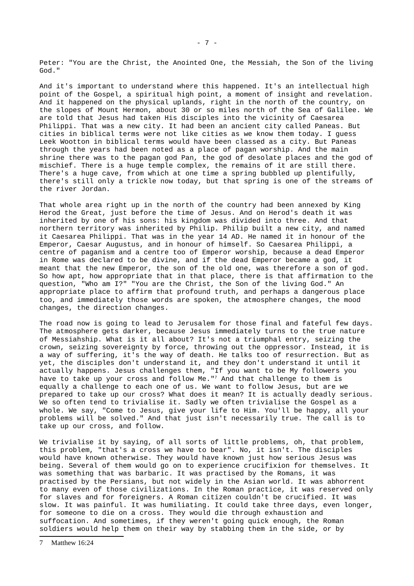Peter: "You are the Christ, the Anointed One, the Messiah, the Son of the living God."

And it's important to understand where this happened. It's an intellectual high point of the Gospel, a spiritual high point, a moment of insight and revelation. And it happened on the physical uplands, right in the north of the country, on the slopes of Mount Hermon, about 30 or so miles north of the Sea of Galilee. We are told that Jesus had taken His disciples into the vicinity of Caesarea Philippi. That was a new city. It had been an ancient city called Paneas. But cities in biblical terms were not like cities as we know them today. I guess Leek Wootton in biblical terms would have been classed as a city. But Paneas through the years had been noted as a place of pagan worship. And the main shrine there was to the pagan god Pan, the god of desolate places and the god of mischief. There is a huge temple complex, the remains of it are still there. There's a huge cave, from which at one time a spring bubbled up plentifully, there's still only a trickle now today, but that spring is one of the streams of the river Jordan.

That whole area right up in the north of the country had been annexed by King Herod the Great, just before the time of Jesus. And on Herod's death it was inherited by one of his sons: his kingdom was divided into three. And that northern territory was inherited by Philip. Philip built a new city, and named it Caesarea Philippi. That was in the year 14 AD. He named it in honour of the Emperor, Caesar Augustus, and in honour of himself. So Caesarea Philippi, a centre of paganism and a centre too of Emperor worship, because a dead Emperor in Rome was declared to be divine, and if the dead Emperor became a god, it meant that the new Emperor, the son of the old one, was therefore a son of god. So how apt, how appropriate that in that place, there is that affirmation to the question, "Who am I?" "You are the Christ, the Son of the living God." An appropriate place to affirm that profound truth, and perhaps a dangerous place too, and immediately those words are spoken, the atmosphere changes, the mood changes, the direction changes.

The road now is going to lead to Jerusalem for those final and fateful few days. The atmosphere gets darker, because Jesus immediately turns to the true nature of Messiahship. What is it all about? It's not a triumphal entry, seizing the crown, seizing sovereignty by force, throwing out the oppressor. Instead, it is a way of suffering, it's the way of death. He talks too of resurrection. But as yet, the disciples don't understand it, and they don't understand it until it actually happens. Jesus challenges them, "If you want to be My followers you have to take up your cross and follow Me."[7](#page-6-0) And that challenge to them is equally a challenge to each one of us. We want to follow Jesus, but are we prepared to take up our cross? What does it mean? It is actually deadly serious. We so often tend to trivialise it. Sadly we often trivialise the Gospel as a whole. We say, "Come to Jesus, give your life to Him. You'll be happy, all your problems will be solved." And that just isn't necessarily true. The call is to take up our cross, and follow.

We trivialise it by saying, of all sorts of little problems, oh, that problem, this problem, "that's a cross we have to bear". No, it isn't. The disciples would have known otherwise. They would have known just how serious Jesus was being. Several of them would go on to experience crucifixion for themselves. It was something that was barbaric. It was practised by the Romans, it was practised by the Persians, but not widely in the Asian world. It was abhorrent to many even of those civilizations. In the Roman practice, it was reserved only for slaves and for foreigners. A Roman citizen couldn't be crucified. It was slow. It was painful. It was humiliating. It could take three days, even longer, for someone to die on a cross. They would die through exhaustion and suffocation. And sometimes, if they weren't going quick enough, the Roman soldiers would help them on their way by stabbing them in the side, or by

<span id="page-6-0"></span><sup>7</sup> Matthew 16:24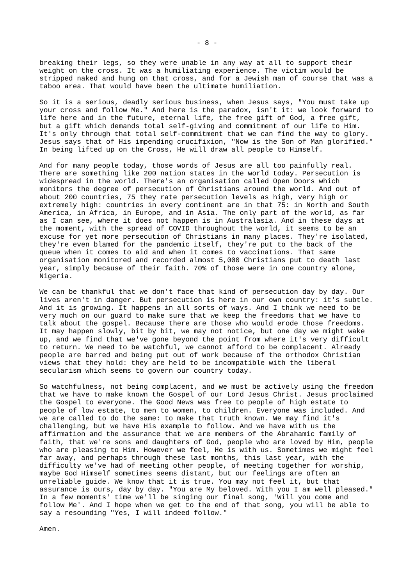breaking their legs, so they were unable in any way at all to support their weight on the cross. It was a humiliating experience. The victim would be stripped naked and hung on that cross, and for a Jewish man of course that was a taboo area. That would have been the ultimate humiliation.

So it is a serious, deadly serious business, when Jesus says, "You must take up your cross and follow Me." And here is the paradox, isn't it: we look forward to life here and in the future, eternal life, the free gift of God, a free gift, but a gift which demands total self-giving and commitment of our life to Him. It's only through that total self-commitment that we can find the way to glory. Jesus says that of His impending crucifixion, "Now is the Son of Man glorified." In being lifted up on the Cross, He will draw all people to Himself.

And for many people today, those words of Jesus are all too painfully real. There are something like 200 nation states in the world today. Persecution is widespread in the world. There's an organisation called Open Doors which monitors the degree of persecution of Christians around the world. And out of about 200 countries, 75 they rate persecution levels as high, very high or extremely high: countries in every continent are in that 75: in North and South America, in Africa, in Europe, and in Asia. The only part of the world, as far as I can see, where it does not happen is in Australasia. And in these days at the moment, with the spread of COVID throughout the world, it seems to be an excuse for yet more persecution of Christians in many places. They're isolated, they're even blamed for the pandemic itself, they're put to the back of the queue when it comes to aid and when it comes to vaccinations. That same organisation monitored and recorded almost 5,000 Christians put to death last year, simply because of their faith. 70% of those were in one country alone, Nigeria.

We can be thankful that we don't face that kind of persecution day by day. Our lives aren't in danger. But persecution is here in our own country: it's subtle. And it is growing. It happens in all sorts of ways. And I think we need to be very much on our guard to make sure that we keep the freedoms that we have to talk about the gospel. Because there are those who would erode those freedoms. It may happen slowly, bit by bit, we may not notice, but one day we might wake up, and we find that we've gone beyond the point from where it's very difficult to return. We need to be watchful, we cannot afford to be complacent. Already people are barred and being put out of work because of the orthodox Christian views that they hold: they are held to be incompatible with the liberal secularism which seems to govern our country today.

So watchfulness, not being complacent, and we must be actively using the freedom that we have to make known the Gospel of our Lord Jesus Christ. Jesus proclaimed the Gospel to everyone. The Good News was free to people of high estate to people of low estate, to men to women, to children. Everyone was included. And we are called to do the same: to make that truth known. We may find it's challenging, but we have His example to follow. And we have with us the affirmation and the assurance that we are members of the Abrahamic family of faith, that we're sons and daughters of God, people who are loved by Him, people who are pleasing to Him. However we feel, He is with us. Sometimes we might feel far away, and perhaps through these last months, this last year, with the difficulty we've had of meeting other people, of meeting together for worship, maybe God Himself sometimes seems distant, but our feelings are often an unreliable guide. We know that it is true. You may not feel it, but that assurance is ours, day by day. "You are My beloved. With you I am well pleased." In a few moments' time we'll be singing our final song, 'Will you come and follow Me'. And I hope when we get to the end of that song, you will be able to say a resounding "Yes, I will indeed follow."

Amen.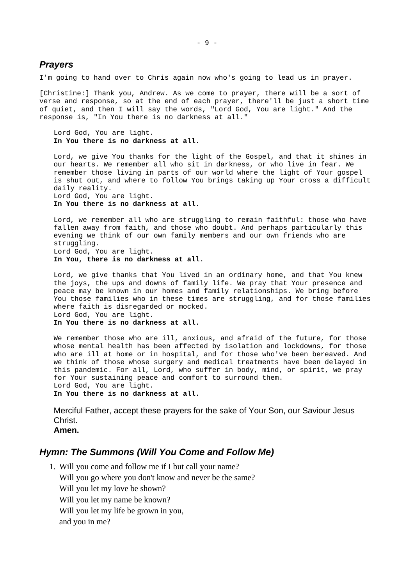#### <span id="page-8-1"></span>*Prayers*

I'm going to hand over to Chris again now who's going to lead us in prayer.

[Christine:] Thank you, Andrew. As we come to prayer, there will be a sort of verse and response, so at the end of each prayer, there'll be just a short time of quiet, and then I will say the words, "Lord God, You are light." And the response is, "In You there is no darkness at all."

Lord God, You are light. **In You there is no darkness at all.**

Lord, we give You thanks for the light of the Gospel, and that it shines in our hearts. We remember all who sit in darkness, or who live in fear. We remember those living in parts of our world where the light of Your gospel is shut out, and where to follow You brings taking up Your cross a difficult daily reality.

Lord God, You are light. **In You there is no darkness at all.** 

Lord, we remember all who are struggling to remain faithful: those who have fallen away from faith, and those who doubt. And perhaps particularly this evening we think of our own family members and our own friends who are struggling. Lord God, You are light. **In You, there is no darkness at all.**

Lord, we give thanks that You lived in an ordinary home, and that You knew the joys, the ups and downs of family life. We pray that Your presence and peace may be known in our homes and family relationships. We bring before You those families who in these times are struggling, and for those families where faith is disregarded or mocked. Lord God, You are light. **In You there is no darkness at all.**

We remember those who are ill, anxious, and afraid of the future, for those whose mental health has been affected by isolation and lockdowns, for those who are ill at home or in hospital, and for those who've been bereaved. And we think of those whose surgery and medical treatments have been delayed in this pandemic. For all, Lord, who suffer in body, mind, or spirit, we pray for Your sustaining peace and comfort to surround them. Lord God, You are light.

**In You there is no darkness at all.**

Merciful Father, accept these prayers for the sake of Your Son, our Saviour Jesus Christ.

**Amen.**

#### <span id="page-8-0"></span>*Hymn: The Summons (Will You Come and Follow Me)*

1. Will you come and follow me if I but call your name? Will you go where you don't know and never be the same? Will you let my love be shown? Will you let my name be known? Will you let my life be grown in you, and you in me?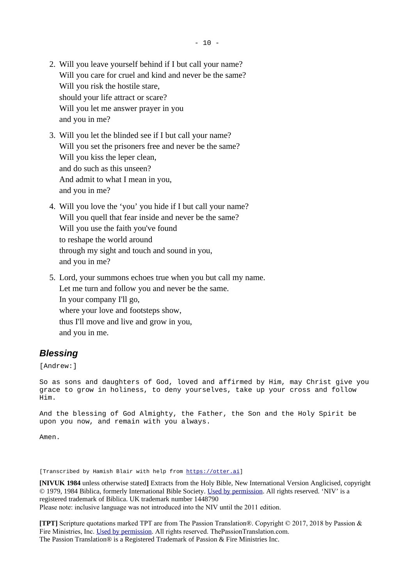- 2. Will you leave yourself behind if I but call your name? Will you care for cruel and kind and never be the same? Will you risk the hostile stare, should your life attract or scare? Will you let me answer prayer in you and you in me?
- 3. Will you let the blinded see if I but call your name? Will you set the prisoners free and never be the same? Will you kiss the leper clean, and do such as this unseen? And admit to what I mean in you, and you in me?
- 4. Will you love the 'you' you hide if I but call your name? Will you quell that fear inside and never be the same? Will you use the faith you've found to reshape the world around through my sight and touch and sound in you, and you in me?
- 5. Lord, your summons echoes true when you but call my name. Let me turn and follow you and never be the same. In your company I'll go, where your love and footsteps show, thus I'll move and live and grow in you, and you in me.

## <span id="page-9-0"></span>*Blessing*

[Andrew:]

So as sons and daughters of God, loved and affirmed by Him, may Christ give you grace to grow in holiness, to deny yourselves, take up your cross and follow Him.

And the blessing of God Almighty, the Father, the Son and the Holy Spirit be upon you now, and remain with you always.

Amen.

[Transcribed by Hamish Blair with help from [https://otter.ai\]](https://otter.ai/)

**[NIVUK 1984** unless otherwise stated**]** Extracts from the Holy Bible, New International Version Anglicised, copyright © 1979, 1984 Biblica, formerly International Bible Society. [Used by permission](https://www.biblica.com/terms-of-use/). All rights reserved. 'NIV' is a registered trademark of Biblica. UK trademark number 1448790 Please note: inclusive language was not introduced into the NIV until the 2011 edition.

**[TPT]** Scripture quotations marked TPT are from The Passion Translation®. Copyright © 2017, 2018 by Passion & Fire Ministries, Inc. [Used by permission](https://www.thepassiontranslation.com/permissions/). All rights reserved. ThePassionTranslation.com. The Passion Translation® is a Registered Trademark of Passion & Fire Ministries Inc.